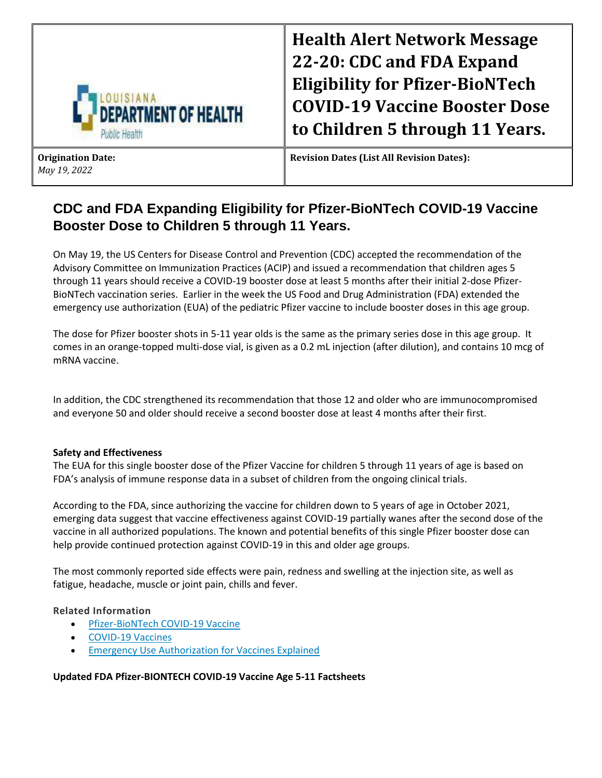

**Health Alert Network Message 22-20: CDC and FDA Expand Eligibility for Pfizer-BioNTech COVID-19 Vaccine Booster Dose to Children 5 through 11 Years.**

**Origination Date:**  *May 19, 2022*

**Revision Dates (List All Revision Dates):** 

# **CDC and FDA Expanding Eligibility for Pfizer-BioNTech COVID-19 Vaccine Booster Dose to Children 5 through 11 Years.**

On May 19, the US Centers for Disease Control and Prevention (CDC) accepted the recommendation of the Advisory Committee on Immunization Practices (ACIP) and issued a recommendation that children ages 5 through 11 years should receive a COVID-19 booster dose at least 5 months after their initial 2-dose Pfizer-BioNTech vaccination series. Earlier in the week the US Food and Drug Administration (FDA) extended the emergency use authorization (EUA) of the pediatric Pfizer vaccine to include booster doses in this age group.

The dose for Pfizer booster shots in 5-11 year olds is the same as the primary series dose in this age group. It comes in an orange-topped multi-dose vial, is given as a 0.2 mL injection (after dilution), and contains 10 mcg of mRNA vaccine.

In addition, the CDC strengthened its recommendation that those 12 and older who are immunocompromised and everyone 50 and older should receive a second booster dose at least 4 months after their first.

## **Safety and Effectiveness**

The EUA for this single booster dose of the Pfizer Vaccine for children 5 through 11 years of age is based on FDA's analysis of immune response data in a subset of children from the ongoing clinical trials.

According to the FDA, since authorizing the vaccine for children down to 5 years of age in October 2021, emerging data suggest that vaccine effectiveness against COVID-19 partially wanes after the second dose of the vaccine in all authorized populations. The known and potential benefits of this single Pfizer booster dose can help provide continued protection against COVID-19 in this and older age groups.

The most commonly reported side effects were pain, redness and swelling at the injection site, as well as fatigue, headache, muscle or joint pain, chills and fever.

## **Related Information**

- **•** [Pfizer-BioNTech COVID-19 Vaccine](https://www.fda.gov/emergency-preparedness-and-response/coronavirus-disease-2019-covid-19/comirnaty-and-pfizer-biontech-covid-19-vaccine)
- [COVID-19 Vaccines](https://www.fda.gov/emergency-preparedness-and-response/coronavirus-disease-2019-covid-19/covid-19-vaccines)
- [Emergency Use Authorization for Vaccines Explained](https://www.fda.gov/vaccines-blood-biologics/vaccines/emergency-use-authorization-vaccines-explained)

## **Updated FDA Pfizer-BIONTECH COVID-19 Vaccine Age 5-11 Factsheets**